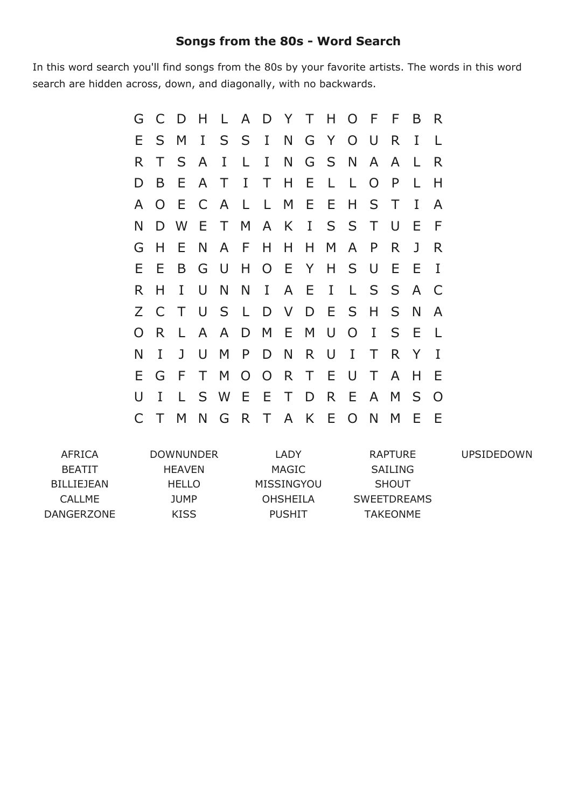## **Songs from the 80s Word Search**

In this word search you'll find songs from the 80s by your favorite artists. The words in this word search are hidden across, down, and diagonally, with no backwards.

| G  | C              | D   | H.           |              |                |                |              |              |         | L A D Y T H O F F |                |        | B            | R.           |
|----|----------------|-----|--------------|--------------|----------------|----------------|--------------|--------------|---------|-------------------|----------------|--------|--------------|--------------|
| Е. | S.             | M   | I            |              |                | S S I N G Y    |              |              |         | $O$ U             |                | R      | I            |              |
| R  | Τ              | S   | A            | I            | L              | I              | N.           |              | G S N   |                   | A              | A      | L.           | R            |
| D  | B              | E   | $\mathsf{A}$ | T            | $\mathbf{I}$   | $\top$         |              | H E          | L       | L.                | $\overline{O}$ | P      | L            | н            |
| A  | $\overline{O}$ | E   |              | C A          | $\mathsf{L}$   | L.             | M E          |              | Ε       | H                 | S              | $\top$ | I            | A            |
| N  |                | D W | E            |              |                |                |              |              |         | T M A K I S S T   |                | $\cup$ | E            | F            |
| G  | Н              | Е   | N            | A            | F              | H.             | H.           | H            | M       | A                 | P              | R.     | $\mathbf{J}$ | R            |
| Е. | E              | B   | G            | U            | $H_{-}$        |                |              |              |         | O E Y H S         | U              | E      | Ε            | I            |
| R. | H              | I   | U            | N            | N              | $\bf{I}$       | $\mathsf{A}$ | -E           | $\rm I$ | L.                | S              | S      | A            | $\mathsf{C}$ |
| Z  | $\mathsf{C}$   | T   | U            | S            | $\mathsf{L}$   |                | D V D E      |              |         | $S_{-}$           | H              | S      | N            | A            |
| O  | R.             | L   | $\mathsf{A}$ | $\mathsf{A}$ | D              |                | M E          | M            | $\cup$  | $\overline{O}$    | I              | S.     | E            | $\perp$      |
| Ν  | I              | J   | U            | M            | P              | D              | N.           | $\mathsf{R}$ | U       | $\mathbf{I}$      | Τ              | R      | Y            | T            |
| Е  | G              | F   | T.           | M            | $\overline{O}$ | $\overline{O}$ | $\mathsf{R}$ | $\top$       | E       | $\cup$            | T.             | A      | H            | Ε            |
| U  | I              | L.  |              | S W          |                | EET            |              |              | D R     | E                 | $\mathsf{A}$   | M      | S            | $\Omega$     |
| C  |                | M   | N            | G            |                | R T A K E      |              |              |         | $\overline{O}$    | N              | M      | E            | Ε            |

AFRICA BEATIT BILLIEJEAN CALLME DANGERZONE DOWNUNDER HEAVEN HELLO JUMP KISS LADY MAGIC MISSINGYOU OHSHEILA PUSHIT RAPTURE SAILING SHOUT SWEETDREAMS TAKEONME UPSIDEDOWN